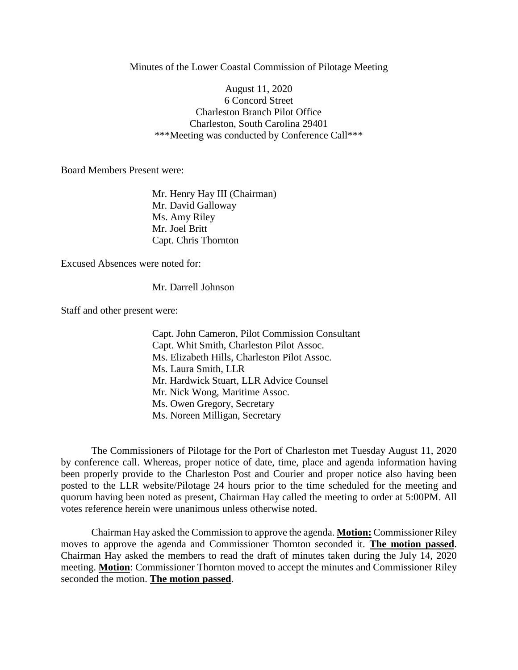Minutes of the Lower Coastal Commission of Pilotage Meeting

August 11, 2020 6 Concord Street Charleston Branch Pilot Office Charleston, South Carolina 29401 \*\*\*Meeting was conducted by Conference Call\*\*\*

Board Members Present were:

Mr. Henry Hay III (Chairman) Mr. David Galloway Ms. Amy Riley Mr. Joel Britt Capt. Chris Thornton

Excused Absences were noted for:

Mr. Darrell Johnson

Staff and other present were:

Capt. John Cameron, Pilot Commission Consultant Capt. Whit Smith, Charleston Pilot Assoc. Ms. Elizabeth Hills, Charleston Pilot Assoc. Ms. Laura Smith, LLR Mr. Hardwick Stuart, LLR Advice Counsel Mr. Nick Wong, Maritime Assoc. Ms. Owen Gregory, Secretary Ms. Noreen Milligan, Secretary

The Commissioners of Pilotage for the Port of Charleston met Tuesday August 11, 2020 by conference call. Whereas, proper notice of date, time, place and agenda information having been properly provide to the Charleston Post and Courier and proper notice also having been posted to the LLR website/Pilotage 24 hours prior to the time scheduled for the meeting and quorum having been noted as present, Chairman Hay called the meeting to order at 5:00PM. All votes reference herein were unanimous unless otherwise noted.

Chairman Hay asked the Commission to approve the agenda. **Motion:** Commissioner Riley moves to approve the agenda and Commissioner Thornton seconded it. **The motion passed**. Chairman Hay asked the members to read the draft of minutes taken during the July 14, 2020 meeting. **Motion**: Commissioner Thornton moved to accept the minutes and Commissioner Riley seconded the motion. **The motion passed**.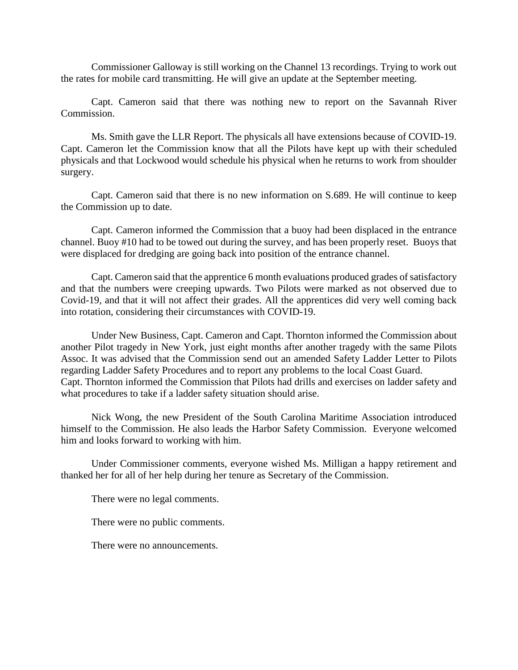Commissioner Galloway is still working on the Channel 13 recordings. Trying to work out the rates for mobile card transmitting. He will give an update at the September meeting.

Capt. Cameron said that there was nothing new to report on the Savannah River Commission.

Ms. Smith gave the LLR Report. The physicals all have extensions because of COVID-19. Capt. Cameron let the Commission know that all the Pilots have kept up with their scheduled physicals and that Lockwood would schedule his physical when he returns to work from shoulder surgery.

Capt. Cameron said that there is no new information on S.689. He will continue to keep the Commission up to date.

Capt. Cameron informed the Commission that a buoy had been displaced in the entrance channel. Buoy #10 had to be towed out during the survey, and has been properly reset. Buoys that were displaced for dredging are going back into position of the entrance channel.

Capt. Cameron said that the apprentice 6 month evaluations produced grades of satisfactory and that the numbers were creeping upwards. Two Pilots were marked as not observed due to Covid-19, and that it will not affect their grades. All the apprentices did very well coming back into rotation, considering their circumstances with COVID-19.

Under New Business, Capt. Cameron and Capt. Thornton informed the Commission about another Pilot tragedy in New York, just eight months after another tragedy with the same Pilots Assoc. It was advised that the Commission send out an amended Safety Ladder Letter to Pilots regarding Ladder Safety Procedures and to report any problems to the local Coast Guard. Capt. Thornton informed the Commission that Pilots had drills and exercises on ladder safety and what procedures to take if a ladder safety situation should arise.

Nick Wong, the new President of the South Carolina Maritime Association introduced himself to the Commission. He also leads the Harbor Safety Commission. Everyone welcomed him and looks forward to working with him.

Under Commissioner comments, everyone wished Ms. Milligan a happy retirement and thanked her for all of her help during her tenure as Secretary of the Commission.

There were no legal comments.

There were no public comments.

There were no announcements.